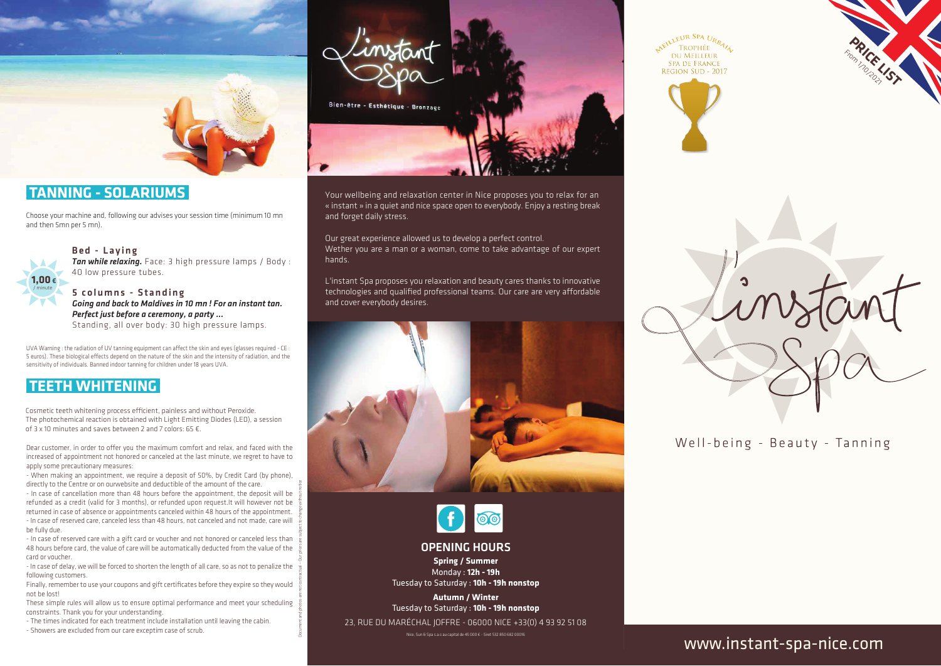

# **TANNING - SOLARIUMS**

Choose your machine and, following our advises your session time (minimum 10 mn and then 5mn per 5 mn).



Bed - Laying

*Tan while relaxing.* Face: 3 high pressure lamps / Body : 40 low pressure tubes.

5 columns - Standing *Going and back to Maldives in 10 mn ! For an instant tan. Perfect just before a ceremony, a party ...* Standing, all over body: 30 high pressure lamps.

UVA Warning : the radiation of UV tanning equipment can affect the skin and eyes (glasses required - CE : 5 euros). These biological effects depend on the nature of the skin and the intensity of radiation, and the sensitivity of individuals. Banned indoor tanning for children under 18 years UVA.

# **TEETH WHITENING**

Cosmetic teeth whitening process efficient, painless and without Peroxide. The photochemical reaction is obtained with Light Emitting Diodes (LED), a session of 3 x 10 minutes and saves between 2 and 7 colors: 65 €.

Dear customer, in order to offer you the maximum comfort and relax, and faced with the increased of appointment not honored or canceled at the last minute, we regret to have to apply some precautionary measures:

- When making an appointment, we require a deposit of 50%, by Credit Card (by phone), directly to the Centre or on ourwebsite and deductible of the amount of the care.

- In case of cancellation more than 48 hours before the appointment, the deposit will be refunded as a credit (valid for 3 months), or refunded upon request.It will however not be returned in case of absence or appointments canceled within 48 hours of the appointment. - In case of reserved care, canceled less than 48 hours, not canceled and not made, care will be fully due.

- In case of reserved care with a gift card or voucher and not honored or canceled less than 48 hours before card, the value of care will be automatically deducted from the value of the card or voucher.

Document and photos are not contractual – Our prices are subject to change without notice

- In case of delay, we will be forced to shorten the length of all care, so as not to penalize the following customers.

Finally, remember to use your coupons and gift certificates before they expire so they would not be lost!

These simple rules will allow us to ensure optimal performance and meet your scheduling constraints. Thank you for your understanding.

- The times indicated for each treatment include installation until leaving the cabin.

- Showers are excluded from our care exceptim case of scrub.



Your wellbeing and relaxation center in Nice proposes you to relax for an « instant » in a quiet and nice space open to everybody. Enjoy a resting break and forget daily stress.

Our great experience allowed us to develop a perfect control. Wether you are a man or a woman, come to take advantage of our expert hands.

L'instant Spa proposes you relaxation and beauty cares thanks to innovative technologies and qualified professional teams. Our care are very affordable and cover everybody desires.





OPENING HOURS

**Spring / Summer** Monday : **12h - 19h** Tuesday to Saturday : **10h - 19h nonstop**

**Autumn / Winter** Tuesday to Saturday : **10h - 19h nonstop**

23, RUE DU MARÉCHAL JOFFRE - 06000 NICE +33(0) 4 93 92 51 08

NEILLEUR SPA URBALL **DU MEILLEUR SPA DE FRANCE** RÉGION SUD - 2017





 Monday : **12h - 19h** Tuesday to Saturday : **10h - 19h nonstop**

# www.instant-spa-nice.com